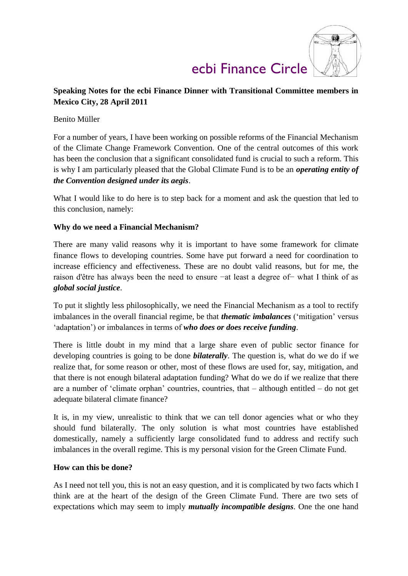

### **Speaking Notes for the ecbi Finance Dinner with Transitional Committee members in Mexico City, 28 April 2011**

#### Benito Müller

For a number of years, I have been working on possible reforms of the Financial Mechanism of the Climate Change Framework Convention. One of the central outcomes of this work has been the conclusion that a significant consolidated fund is crucial to such a reform. This is why I am particularly pleased that the Global Climate Fund is to be an *operating entity of the Convention designed under its aegis*.

What I would like to do here is to step back for a moment and ask the question that led to this conclusion, namely:

#### **Why do we need a Financial Mechanism?**

There are many valid reasons why it is important to have some framework for climate finance flows to developing countries. Some have put forward a need for coordination to increase efficiency and effectiveness. These are no doubt valid reasons, but for me, the raison d'être has always been the need to ensure −at least a degree of− what I think of as *global social justice*.

To put it slightly less philosophically, we need the Financial Mechanism as a tool to rectify imbalances in the overall financial regime, be that *thematic imbalances* ('mitigation' versus 'adaptation') or imbalances in terms of *who does or does receive funding*.

There is little doubt in my mind that a large share even of public sector finance for developing countries is going to be done *bilaterally*. The question is, what do we do if we realize that, for some reason or other, most of these flows are used for, say, mitigation, and that there is not enough bilateral adaptation funding? What do we do if we realize that there are a number of 'climate orphan' countries, countries, that – although entitled – do not get adequate bilateral climate finance?

It is, in my view, unrealistic to think that we can tell donor agencies what or who they should fund bilaterally. The only solution is what most countries have established domestically, namely a sufficiently large consolidated fund to address and rectify such imbalances in the overall regime. This is my personal vision for the Green Climate Fund.

#### **How can this be done?**

As I need not tell you, this is not an easy question, and it is complicated by two facts which I think are at the heart of the design of the Green Climate Fund. There are two sets of expectations which may seem to imply *mutually incompatible designs*. One the one hand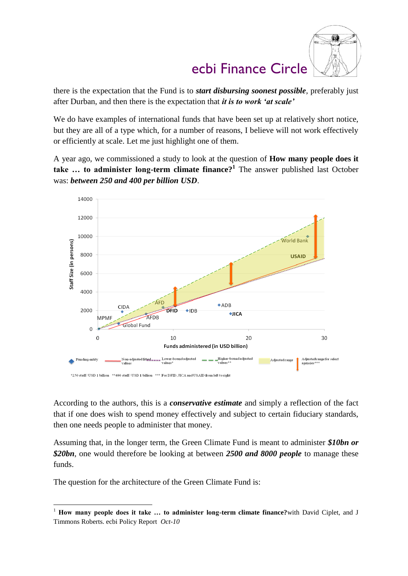

there is the expectation that the Fund is to *start disbursing soonest possible*, preferably just after Durban, and then there is the expectation that *it is to work 'at scale'*

We do have examples of international funds that have been set up at relatively short notice, but they are all of a type which, for a number of reasons, I believe will not work effectively or efficiently at scale. Let me just highlight one of them.

A year ago, we commissioned a study to look at the question of **How many people does it take … to administer long-term climate finance?<sup>1</sup>** The answer published last October was: *between 250 and 400 per billion USD*.



According to the authors, this is a *conservative estimate* and simply a reflection of the fact that if one does wish to spend money effectively and subject to certain fiduciary standards, then one needs people to administer that money.

Assuming that, in the longer term, the Green Climate Fund is meant to administer *\$10bn or \$20bn*, one would therefore be looking at between *2500 and 8000 people* to manage these funds.

The question for the architecture of the Green Climate Fund is:

1

<sup>1</sup> **How many people does it take … to administer long-term climate finance?**with David Ciplet, and J Timmons Roberts. ecbi Policy Report *Oct-10*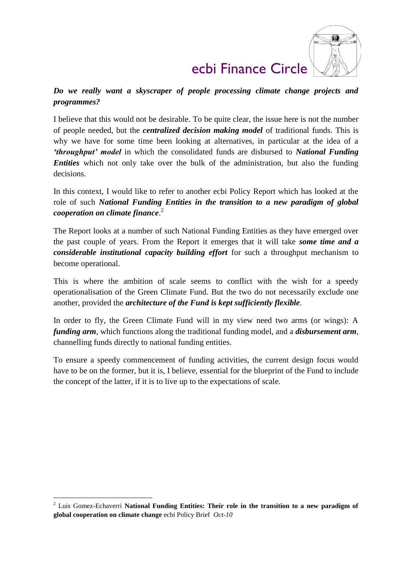

*Do we really want a skyscraper of people processing climate change projects and programmes?* 

I believe that this would not be desirable. To be quite clear, the issue here is not the number of people needed, but the *centralized decision making model* of traditional funds. This is why we have for some time been looking at alternatives, in particular at the idea of a *'throughput' model* in which the consolidated funds are disbursed to *National Funding Entities* which not only take over the bulk of the administration, but also the funding decisions.

In this context, I would like to refer to another ecbi Policy Report which has looked at the role of such *National Funding Entities in the transition to a new paradigm of global cooperation on climate finance*. 2

The Report looks at a number of such National Funding Entities as they have emerged over the past couple of years. From the Report it emerges that it will take *some time and a considerable institutional capacity building effort* for such a throughput mechanism to become operational.

This is where the ambition of scale seems to conflict with the wish for a speedy operationalisation of the Green Climate Fund. But the two do not necessarily exclude one another, provided the *architecture of the Fund is kept sufficiently flexible*.

In order to fly, the Green Climate Fund will in my view need two arms (or wings): A *funding arm*, which functions along the traditional funding model, and a *disbursement arm*, channelling funds directly to national funding entities.

To ensure a speedy commencement of funding activities, the current design focus would have to be on the former, but it is, I believe, essential for the blueprint of the Fund to include the concept of the latter, if it is to live up to the expectations of scale.

<u>.</u>

<sup>2</sup> Luis Gomez-Echaverri **National Funding Entities: Their role in the transition to a new paradigm of global cooperation on climate change** ecbi Policy Brief *Oct-10*